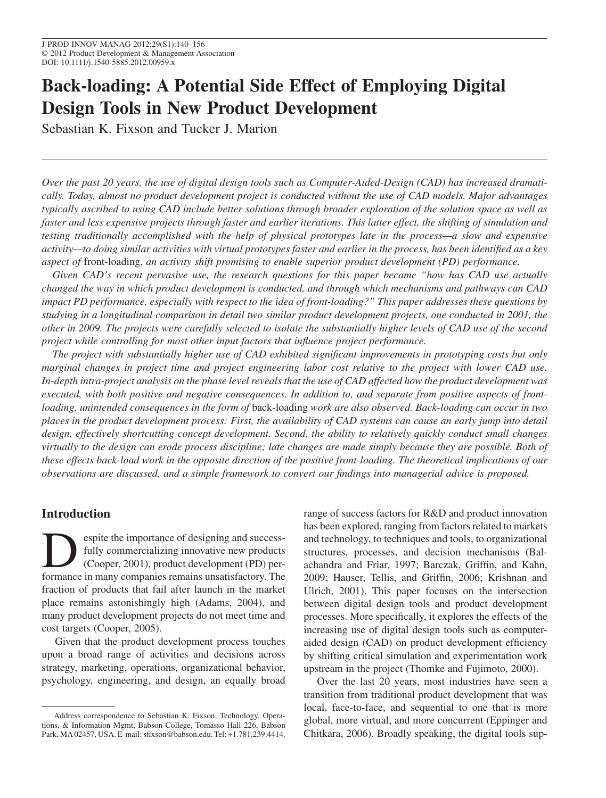# **Back-loading: A Potential Side Effect of Employing Digital Design Tools in New Product Development**

Sebastian K. Fixson and Tucker J. Marion

*Over the past 20 years, the use of digital design tools such as Computer-Aided-Design (CAD) has increased dramatically. Today, almost no product development project is conducted without the use of CAD models. Major advantages typically ascribed to using CAD include better solutions through broader exploration of the solution space as well as faster and less expensive projects through faster and earlier iterations. This latter effect, the shifting of simulation and testing traditionally accomplished with the help of physical prototypes late in the process—a slow and expensive activity—to doing similar activities with virtual prototypes faster and earlier in the process, has been identified as a key aspect of* front-loading, *an activity shift promising to enable superior product development (PD) performance.*

*Given CAD's recent pervasive use, the research questions for this paper became "how has CAD use actually changed the way in which product development is conducted, and through which mechanisms and pathways can CAD impact PD performance, especially with respect to the idea of front-loading?" This paper addresses these questions by studying in a longitudinal comparison in detail two similar product development projects, one conducted in 2001, the other in 2009. The projects were carefully selected to isolate the substantially higher levels of CAD use of the second project while controlling for most other input factors that influence project performance.*

*The project with substantially higher use of CAD exhibited significant improvements in prototyping costs but only marginal changes in project time and project engineering labor cost relative to the project with lower CAD use. In-depth intra-project analysis on the phase level reveals that the use of CAD affected how the product development was executed, with both positive and negative consequences. In addition to, and separate from positive aspects of frontloading, unintended consequences in the form of* back-loading *work are also observed. Back-loading can occur in two places in the product development process: First, the availability of CAD systems can cause an early jump into detail design, effectively shortcutting concept development. Second, the ability to relatively quickly conduct small changes virtually to the design can erode process discipline; late changes are made simply because they are possible. Both of these effects back-load work in the opposite direction of the positive front-loading. The theoretical implications of our observations are discussed, and a simple framework to convert our findings into managerial advice is proposed.*

# **Introduction**

espite the importance of designing and successfully commercializing innovative new products (Cooper, 2001), product development (PD) performance in many companies remains unsatisfactory. The fraction of products that fail after launch in the market place remains astonishingly high (Adams, 2004), and many product development projects do not meet time and cost targets (Cooper, 2005).

Given that the product development process touches upon a broad range of activities and decisions across strategy, marketing, operations, organizational behavior, psychology, engineering, and design, an equally broad

range of success factors for R&D and product innovation has been explored, ranging from factors related to markets and technology, to techniques and tools, to organizational structures, processes, and decision mechanisms (Balachandra and Friar, 1997; Barczak, Griffin, and Kahn, 2009; Hauser, Tellis, and Griffin, 2006; Krishnan and Ulrich, 2001). This paper focuses on the intersection between digital design tools and product development processes. More specifically, it explores the effects of the increasing use of digital design tools such as computeraided design (CAD) on product development efficiency by shifting critical simulation and experimentation work upstream in the project (Thomke and Fujimoto, 2000).

Over the last 20 years, most industries have seen a transition from traditional product development that was local, face-to-face, and sequential to one that is more global, more virtual, and more concurrent (Eppinger and Chitkara, 2006). Broadly speaking, the digital tools sup-

Address correspondence to Sebastian K. Fixson, Technology, Operations, & Information Mgmt, Babson College, Tomasso Hall 226, Babson Park, MA 02457, USA. E-mail: sfixson@babson.edu. Tel: +1.781.239.4414.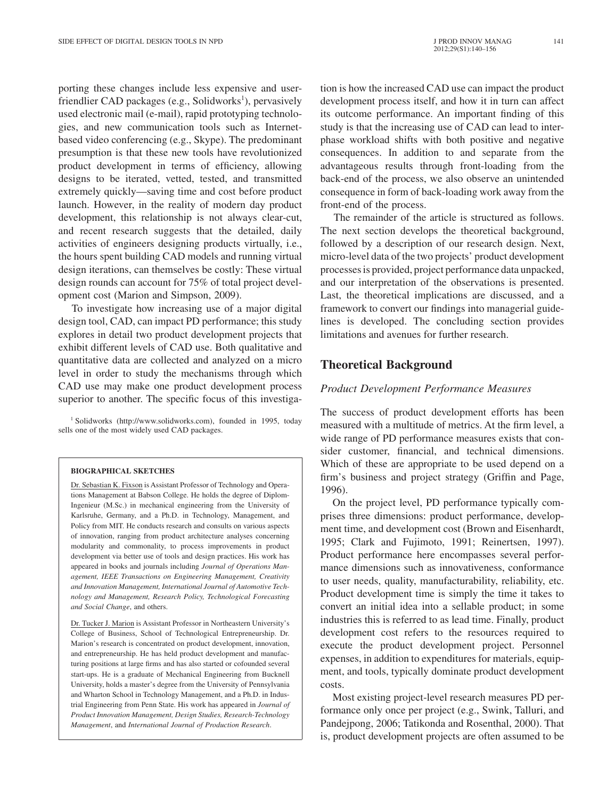porting these changes include less expensive and userfriendlier CAD packages (e.g., Solidworks<sup>1</sup>), pervasively used electronic mail (e-mail), rapid prototyping technologies, and new communication tools such as Internetbased video conferencing (e.g., Skype). The predominant presumption is that these new tools have revolutionized product development in terms of efficiency, allowing designs to be iterated, vetted, tested, and transmitted extremely quickly—saving time and cost before product launch. However, in the reality of modern day product development, this relationship is not always clear-cut, and recent research suggests that the detailed, daily activities of engineers designing products virtually, i.e., the hours spent building CAD models and running virtual design iterations, can themselves be costly: These virtual design rounds can account for 75% of total project development cost (Marion and Simpson, 2009).

To investigate how increasing use of a major digital design tool, CAD, can impact PD performance; this study explores in detail two product development projects that exhibit different levels of CAD use. Both qualitative and quantitative data are collected and analyzed on a micro level in order to study the mechanisms through which CAD use may make one product development process superior to another. The specific focus of this investiga-

<sup>1</sup> Solidworks (http://www.solidworks.com), founded in 1995, today sells one of the most widely used CAD packages.

#### **BIOGRAPHICAL SKETCHES**

Dr. Sebastian K. Fixson is Assistant Professor of Technology and Operations Management at Babson College. He holds the degree of Diplom-Ingenieur (M.Sc.) in mechanical engineering from the University of Karlsruhe, Germany, and a Ph.D. in Technology, Management, and Policy from MIT. He conducts research and consults on various aspects of innovation, ranging from product architecture analyses concerning modularity and commonality, to process improvements in product development via better use of tools and design practices. His work has appeared in books and journals including *Journal of Operations Management, IEEE Transactions on Engineering Management, Creativity and Innovation Management, International Journal of Automotive Technology and Management, Research Policy, Technological Forecasting and Social Change*, and others.

Dr. Tucker J. Marion is Assistant Professor in Northeastern University's College of Business, School of Technological Entrepreneurship. Dr. Marion's research is concentrated on product development, innovation, and entrepreneurship. He has held product development and manufacturing positions at large firms and has also started or cofounded several start-ups. He is a graduate of Mechanical Engineering from Bucknell University, holds a master's degree from the University of Pennsylvania and Wharton School in Technology Management, and a Ph.D. in Industrial Engineering from Penn State. His work has appeared in *Journal of Product Innovation Management, Design Studies, Research-Technology Management*, and *International Journal of Production Research*.

tion is how the increased CAD use can impact the product development process itself, and how it in turn can affect its outcome performance. An important finding of this study is that the increasing use of CAD can lead to interphase workload shifts with both positive and negative consequences. In addition to and separate from the advantageous results through front-loading from the back-end of the process, we also observe an unintended consequence in form of back-loading work away from the front-end of the process.

The remainder of the article is structured as follows. The next section develops the theoretical background, followed by a description of our research design. Next, micro-level data of the two projects' product development processes is provided, project performance data unpacked, and our interpretation of the observations is presented. Last, the theoretical implications are discussed, and a framework to convert our findings into managerial guidelines is developed. The concluding section provides limitations and avenues for further research.

## **Theoretical Background**

### *Product Development Performance Measures*

The success of product development efforts has been measured with a multitude of metrics. At the firm level, a wide range of PD performance measures exists that consider customer, financial, and technical dimensions. Which of these are appropriate to be used depend on a firm's business and project strategy (Griffin and Page, 1996).

On the project level, PD performance typically comprises three dimensions: product performance, development time, and development cost (Brown and Eisenhardt, 1995; Clark and Fujimoto, 1991; Reinertsen, 1997). Product performance here encompasses several performance dimensions such as innovativeness, conformance to user needs, quality, manufacturability, reliability, etc. Product development time is simply the time it takes to convert an initial idea into a sellable product; in some industries this is referred to as lead time. Finally, product development cost refers to the resources required to execute the product development project. Personnel expenses, in addition to expenditures for materials, equipment, and tools, typically dominate product development costs.

Most existing project-level research measures PD performance only once per project (e.g., Swink, Talluri, and Pandejpong, 2006; Tatikonda and Rosenthal, 2000). That is, product development projects are often assumed to be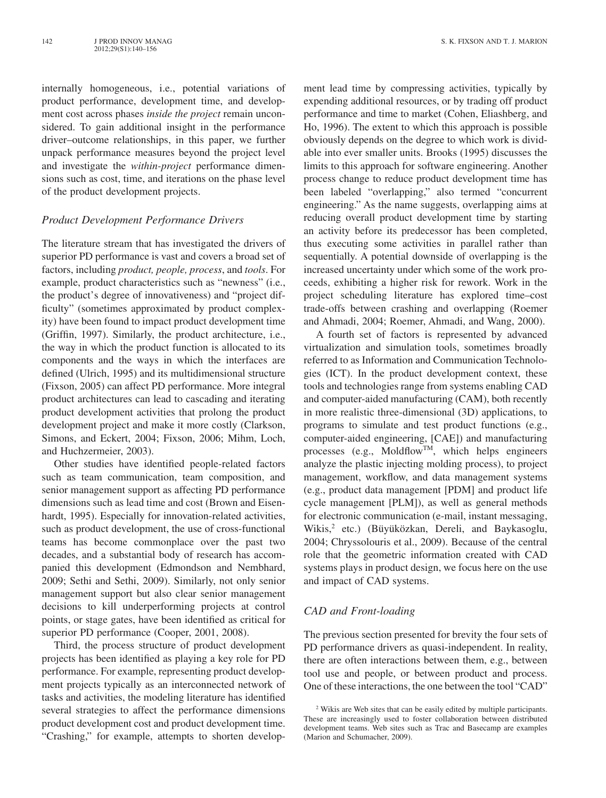internally homogeneous, i.e., potential variations of product performance, development time, and development cost across phases *inside the project* remain unconsidered. To gain additional insight in the performance driver–outcome relationships, in this paper, we further unpack performance measures beyond the project level and investigate the *within-project* performance dimensions such as cost, time, and iterations on the phase level of the product development projects.

#### *Product Development Performance Drivers*

The literature stream that has investigated the drivers of superior PD performance is vast and covers a broad set of factors, including *product, people, process*, and *tools*. For example, product characteristics such as "newness" (i.e., the product's degree of innovativeness) and "project difficulty" (sometimes approximated by product complexity) have been found to impact product development time (Griffin, 1997). Similarly, the product architecture, i.e., the way in which the product function is allocated to its components and the ways in which the interfaces are defined (Ulrich, 1995) and its multidimensional structure (Fixson, 2005) can affect PD performance. More integral product architectures can lead to cascading and iterating product development activities that prolong the product development project and make it more costly (Clarkson, Simons, and Eckert, 2004; Fixson, 2006; Mihm, Loch, and Huchzermeier, 2003).

Other studies have identified people-related factors such as team communication, team composition, and senior management support as affecting PD performance dimensions such as lead time and cost (Brown and Eisenhardt, 1995). Especially for innovation-related activities, such as product development, the use of cross-functional teams has become commonplace over the past two decades, and a substantial body of research has accompanied this development (Edmondson and Nembhard, 2009; Sethi and Sethi, 2009). Similarly, not only senior management support but also clear senior management decisions to kill underperforming projects at control points, or stage gates, have been identified as critical for superior PD performance (Cooper, 2001, 2008).

Third, the process structure of product development projects has been identified as playing a key role for PD performance. For example, representing product development projects typically as an interconnected network of tasks and activities, the modeling literature has identified several strategies to affect the performance dimensions product development cost and product development time. "Crashing," for example, attempts to shorten development lead time by compressing activities, typically by expending additional resources, or by trading off product performance and time to market (Cohen, Eliashberg, and Ho, 1996). The extent to which this approach is possible obviously depends on the degree to which work is dividable into ever smaller units. Brooks (1995) discusses the limits to this approach for software engineering. Another process change to reduce product development time has been labeled "overlapping," also termed "concurrent engineering." As the name suggests, overlapping aims at reducing overall product development time by starting an activity before its predecessor has been completed, thus executing some activities in parallel rather than sequentially. A potential downside of overlapping is the increased uncertainty under which some of the work proceeds, exhibiting a higher risk for rework. Work in the project scheduling literature has explored time–cost trade-offs between crashing and overlapping (Roemer and Ahmadi, 2004; Roemer, Ahmadi, and Wang, 2000).

A fourth set of factors is represented by advanced virtualization and simulation tools, sometimes broadly referred to as Information and Communication Technologies (ICT). In the product development context, these tools and technologies range from systems enabling CAD and computer-aided manufacturing (CAM), both recently in more realistic three-dimensional (3D) applications, to programs to simulate and test product functions (e.g., computer-aided engineering, [CAE]) and manufacturing processes (e.g., Moldflow™, which helps engineers analyze the plastic injecting molding process), to project management, workflow, and data management systems (e.g., product data management [PDM] and product life cycle management [PLM]), as well as general methods for electronic communication (e-mail, instant messaging, Wikis,<sup>2</sup> etc.) (Büyüközkan, Dereli, and Baykasoglu, 2004; Chryssolouris et al., 2009). Because of the central role that the geometric information created with CAD systems plays in product design, we focus here on the use and impact of CAD systems.

#### *CAD and Front-loading*

The previous section presented for brevity the four sets of PD performance drivers as quasi-independent. In reality, there are often interactions between them, e.g., between tool use and people, or between product and process. One of these interactions, the one between the tool "CAD"

<sup>2</sup> Wikis are Web sites that can be easily edited by multiple participants. These are increasingly used to foster collaboration between distributed development teams. Web sites such as Trac and Basecamp are examples (Marion and Schumacher, 2009).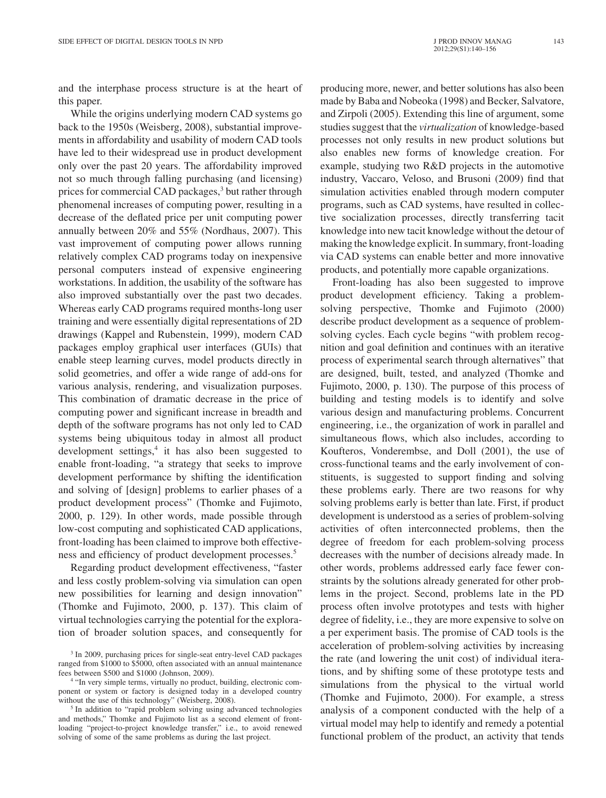and the interphase process structure is at the heart of this paper.

While the origins underlying modern CAD systems go back to the 1950s (Weisberg, 2008), substantial improvements in affordability and usability of modern CAD tools have led to their widespread use in product development only over the past 20 years. The affordability improved not so much through falling purchasing (and licensing) prices for commercial CAD packages, $3$  but rather through phenomenal increases of computing power, resulting in a decrease of the deflated price per unit computing power annually between 20% and 55% (Nordhaus, 2007). This vast improvement of computing power allows running relatively complex CAD programs today on inexpensive personal computers instead of expensive engineering workstations. In addition, the usability of the software has also improved substantially over the past two decades. Whereas early CAD programs required months-long user training and were essentially digital representations of 2D drawings (Kappel and Rubenstein, 1999), modern CAD packages employ graphical user interfaces (GUIs) that enable steep learning curves, model products directly in solid geometries, and offer a wide range of add-ons for various analysis, rendering, and visualization purposes. This combination of dramatic decrease in the price of computing power and significant increase in breadth and depth of the software programs has not only led to CAD systems being ubiquitous today in almost all product development settings, $4$  it has also been suggested to enable front-loading, "a strategy that seeks to improve development performance by shifting the identification and solving of [design] problems to earlier phases of a product development process" (Thomke and Fujimoto, 2000, p. 129). In other words, made possible through low-cost computing and sophisticated CAD applications, front-loading has been claimed to improve both effectiveness and efficiency of product development processes.<sup>5</sup>

Regarding product development effectiveness, "faster and less costly problem-solving via simulation can open new possibilities for learning and design innovation" (Thomke and Fujimoto, 2000, p. 137). This claim of virtual technologies carrying the potential for the exploration of broader solution spaces, and consequently for producing more, newer, and better solutions has also been made by Baba and Nobeoka (1998) and Becker, Salvatore, and Zirpoli (2005). Extending this line of argument, some studies suggest that the *virtualization* of knowledge-based processes not only results in new product solutions but also enables new forms of knowledge creation. For example, studying two R&D projects in the automotive industry, Vaccaro, Veloso, and Brusoni (2009) find that simulation activities enabled through modern computer programs, such as CAD systems, have resulted in collective socialization processes, directly transferring tacit knowledge into new tacit knowledge without the detour of making the knowledge explicit. In summary, front-loading via CAD systems can enable better and more innovative products, and potentially more capable organizations.

Front-loading has also been suggested to improve product development efficiency. Taking a problemsolving perspective, Thomke and Fujimoto (2000) describe product development as a sequence of problemsolving cycles. Each cycle begins "with problem recognition and goal definition and continues with an iterative process of experimental search through alternatives" that are designed, built, tested, and analyzed (Thomke and Fujimoto, 2000, p. 130). The purpose of this process of building and testing models is to identify and solve various design and manufacturing problems. Concurrent engineering, i.e., the organization of work in parallel and simultaneous flows, which also includes, according to Koufteros, Vonderembse, and Doll (2001), the use of cross-functional teams and the early involvement of constituents, is suggested to support finding and solving these problems early. There are two reasons for why solving problems early is better than late. First, if product development is understood as a series of problem-solving activities of often interconnected problems, then the degree of freedom for each problem-solving process decreases with the number of decisions already made. In other words, problems addressed early face fewer constraints by the solutions already generated for other problems in the project. Second, problems late in the PD process often involve prototypes and tests with higher degree of fidelity, i.e., they are more expensive to solve on a per experiment basis. The promise of CAD tools is the acceleration of problem-solving activities by increasing the rate (and lowering the unit cost) of individual iterations, and by shifting some of these prototype tests and simulations from the physical to the virtual world (Thomke and Fujimoto, 2000). For example, a stress analysis of a component conducted with the help of a virtual model may help to identify and remedy a potential functional problem of the product, an activity that tends

<sup>&</sup>lt;sup>3</sup> In 2009, purchasing prices for single-seat entry-level CAD packages ranged from \$1000 to \$5000, often associated with an annual maintenance fees between \$500 and \$1000 (Johnson, 2009).

<sup>&</sup>lt;sup>4</sup> "In very simple terms, virtually no product, building, electronic component or system or factory is designed today in a developed country without the use of this technology" (Weisberg, 2008).

<sup>&</sup>lt;sup>5</sup> In addition to "rapid problem solving using advanced technologies and methods," Thomke and Fujimoto list as a second element of frontloading "project-to-project knowledge transfer," i.e., to avoid renewed solving of some of the same problems as during the last project.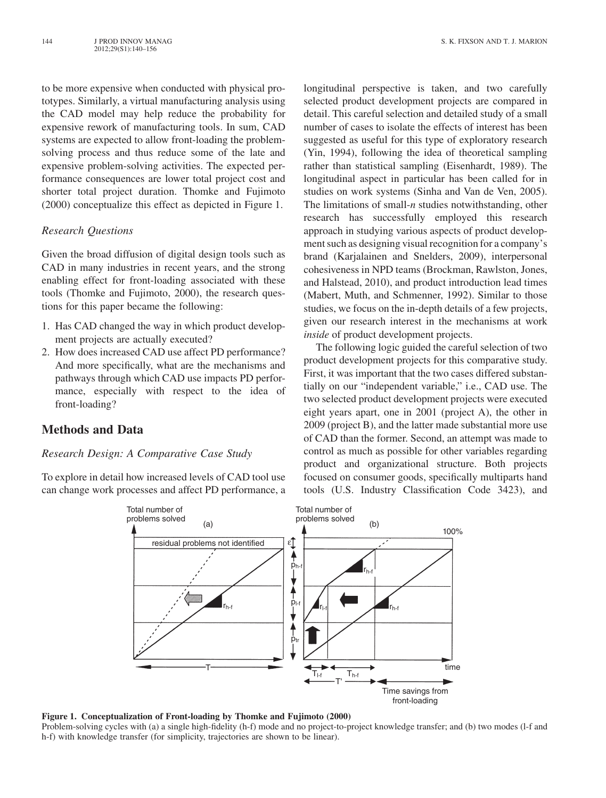to be more expensive when conducted with physical prototypes. Similarly, a virtual manufacturing analysis using the CAD model may help reduce the probability for expensive rework of manufacturing tools. In sum, CAD systems are expected to allow front-loading the problemsolving process and thus reduce some of the late and expensive problem-solving activities. The expected performance consequences are lower total project cost and shorter total project duration. Thomke and Fujimoto (2000) conceptualize this effect as depicted in Figure 1.

# *Research Questions*

Given the broad diffusion of digital design tools such as CAD in many industries in recent years, and the strong enabling effect for front-loading associated with these tools (Thomke and Fujimoto, 2000), the research questions for this paper became the following:

- 1. Has CAD changed the way in which product development projects are actually executed?
- 2. How does increased CAD use affect PD performance? And more specifically, what are the mechanisms and pathways through which CAD use impacts PD performance, especially with respect to the idea of front-loading?

# **Methods and Data**

## *Research Design: A Comparative Case Study*

To explore in detail how increased levels of CAD tool use can change work processes and affect PD performance, a

longitudinal perspective is taken, and two carefully selected product development projects are compared in detail. This careful selection and detailed study of a small number of cases to isolate the effects of interest has been suggested as useful for this type of exploratory research (Yin, 1994), following the idea of theoretical sampling rather than statistical sampling (Eisenhardt, 1989). The longitudinal aspect in particular has been called for in studies on work systems (Sinha and Van de Ven, 2005). The limitations of small-*n* studies notwithstanding, other research has successfully employed this research approach in studying various aspects of product development such as designing visual recognition for a company's brand (Karjalainen and Snelders, 2009), interpersonal cohesiveness in NPD teams (Brockman, Rawlston, Jones, and Halstead, 2010), and product introduction lead times (Mabert, Muth, and Schmenner, 1992). Similar to those studies, we focus on the in-depth details of a few projects, given our research interest in the mechanisms at work *inside* of product development projects.

The following logic guided the careful selection of two product development projects for this comparative study. First, it was important that the two cases differed substantially on our "independent variable," i.e., CAD use. The two selected product development projects were executed eight years apart, one in 2001 (project A), the other in 2009 (project B), and the latter made substantial more use of CAD than the former. Second, an attempt was made to control as much as possible for other variables regarding product and organizational structure. Both projects focused on consumer goods, specifically multiparts hand tools (U.S. Industry Classification Code 3423), and



**Figure 1. Conceptualization of Front-loading by Thomke and Fujimoto (2000)**

Problem-solving cycles with (a) a single high-fidelity (h-f) mode and no project-to-project knowledge transfer; and (b) two modes (l-f and h-f) with knowledge transfer (for simplicity, trajectories are shown to be linear).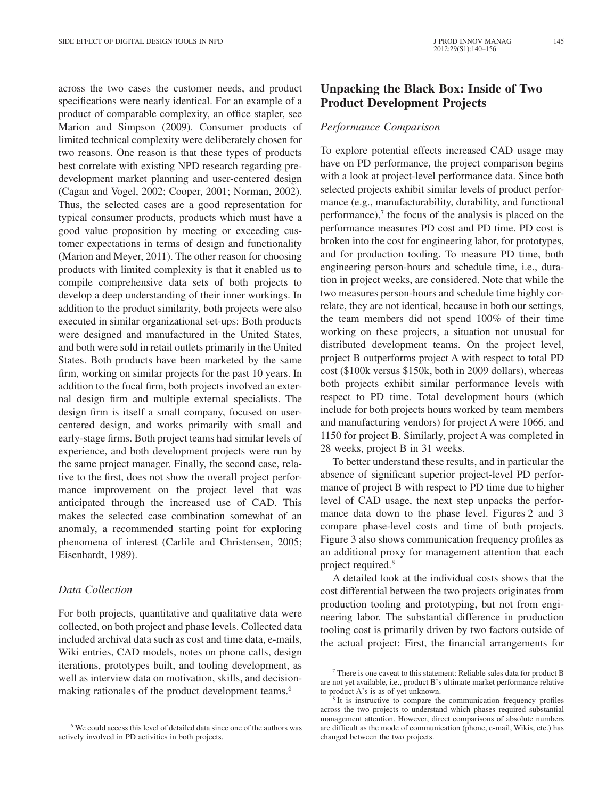across the two cases the customer needs, and product specifications were nearly identical. For an example of a product of comparable complexity, an office stapler, see Marion and Simpson (2009). Consumer products of limited technical complexity were deliberately chosen for two reasons. One reason is that these types of products best correlate with existing NPD research regarding predevelopment market planning and user-centered design (Cagan and Vogel, 2002; Cooper, 2001; Norman, 2002). Thus, the selected cases are a good representation for typical consumer products, products which must have a good value proposition by meeting or exceeding customer expectations in terms of design and functionality (Marion and Meyer, 2011). The other reason for choosing products with limited complexity is that it enabled us to compile comprehensive data sets of both projects to develop a deep understanding of their inner workings. In addition to the product similarity, both projects were also executed in similar organizational set-ups: Both products were designed and manufactured in the United States, and both were sold in retail outlets primarily in the United States. Both products have been marketed by the same firm, working on similar projects for the past 10 years. In addition to the focal firm, both projects involved an external design firm and multiple external specialists. The design firm is itself a small company, focused on usercentered design, and works primarily with small and early-stage firms. Both project teams had similar levels of experience, and both development projects were run by the same project manager. Finally, the second case, relative to the first, does not show the overall project performance improvement on the project level that was anticipated through the increased use of CAD. This makes the selected case combination somewhat of an anomaly, a recommended starting point for exploring phenomena of interest (Carlile and Christensen, 2005; Eisenhardt, 1989).

#### *Data Collection*

For both projects, quantitative and qualitative data were collected, on both project and phase levels. Collected data included archival data such as cost and time data, e-mails, Wiki entries, CAD models, notes on phone calls, design iterations, prototypes built, and tooling development, as well as interview data on motivation, skills, and decisionmaking rationales of the product development teams.<sup>6</sup>

# **Unpacking the Black Box: Inside of Two Product Development Projects**

## *Performance Comparison*

To explore potential effects increased CAD usage may have on PD performance, the project comparison begins with a look at project-level performance data. Since both selected projects exhibit similar levels of product performance (e.g., manufacturability, durability, and functional performance), $\lambda$  the focus of the analysis is placed on the performance measures PD cost and PD time. PD cost is broken into the cost for engineering labor, for prototypes, and for production tooling. To measure PD time, both engineering person-hours and schedule time, i.e., duration in project weeks, are considered. Note that while the two measures person-hours and schedule time highly correlate, they are not identical, because in both our settings, the team members did not spend 100% of their time working on these projects, a situation not unusual for distributed development teams. On the project level, project B outperforms project A with respect to total PD cost (\$100k versus \$150k, both in 2009 dollars), whereas both projects exhibit similar performance levels with respect to PD time. Total development hours (which include for both projects hours worked by team members and manufacturing vendors) for project A were 1066, and 1150 for project B. Similarly, project A was completed in 28 weeks, project B in 31 weeks.

To better understand these results, and in particular the absence of significant superior project-level PD performance of project B with respect to PD time due to higher level of CAD usage, the next step unpacks the performance data down to the phase level. Figures 2 and 3 compare phase-level costs and time of both projects. Figure 3 also shows communication frequency profiles as an additional proxy for management attention that each project required.<sup>8</sup>

A detailed look at the individual costs shows that the cost differential between the two projects originates from production tooling and prototyping, but not from engineering labor. The substantial difference in production tooling cost is primarily driven by two factors outside of the actual project: First, the financial arrangements for

<sup>6</sup> We could access this level of detailed data since one of the authors was actively involved in PD activities in both projects.

<sup>7</sup> There is one caveat to this statement: Reliable sales data for product B are not yet available, i.e., product B's ultimate market performance relative to product A's is as of yet unknown.

<sup>&</sup>lt;sup>8</sup> It is instructive to compare the communication frequency profiles across the two projects to understand which phases required substantial management attention. However, direct comparisons of absolute numbers are difficult as the mode of communication (phone, e-mail, Wikis, etc.) has changed between the two projects.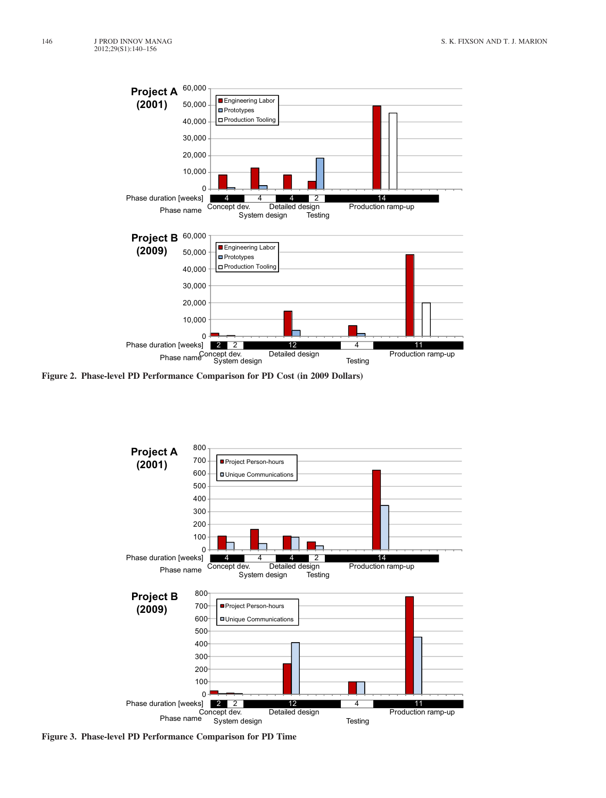

**Figure 2. Phase-level PD Performance Comparison for PD Cost (in 2009 Dollars)**



**Figure 3. Phase-level PD Performance Comparison for PD Time**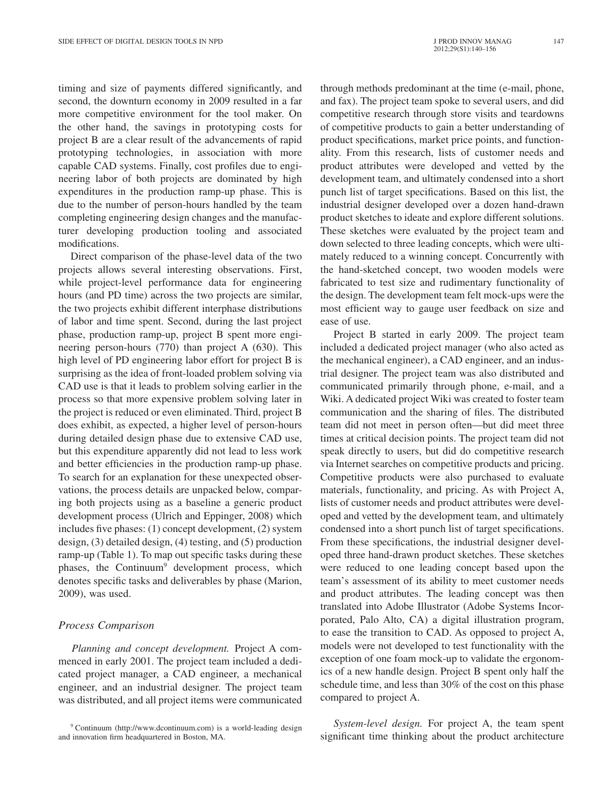timing and size of payments differed significantly, and second, the downturn economy in 2009 resulted in a far more competitive environment for the tool maker. On the other hand, the savings in prototyping costs for project B are a clear result of the advancements of rapid prototyping technologies, in association with more capable CAD systems. Finally, cost profiles due to engineering labor of both projects are dominated by high expenditures in the production ramp-up phase. This is due to the number of person-hours handled by the team completing engineering design changes and the manufacturer developing production tooling and associated modifications.

Direct comparison of the phase-level data of the two projects allows several interesting observations. First, while project-level performance data for engineering hours (and PD time) across the two projects are similar, the two projects exhibit different interphase distributions of labor and time spent. Second, during the last project phase, production ramp-up, project B spent more engineering person-hours (770) than project A (630). This high level of PD engineering labor effort for project B is surprising as the idea of front-loaded problem solving via CAD use is that it leads to problem solving earlier in the process so that more expensive problem solving later in the project is reduced or even eliminated. Third, project B does exhibit, as expected, a higher level of person-hours during detailed design phase due to extensive CAD use, but this expenditure apparently did not lead to less work and better efficiencies in the production ramp-up phase. To search for an explanation for these unexpected observations, the process details are unpacked below, comparing both projects using as a baseline a generic product development process (Ulrich and Eppinger, 2008) which includes five phases: (1) concept development, (2) system design, (3) detailed design, (4) testing, and (5) production ramp-up (Table 1). To map out specific tasks during these phases, the Continuum<sup>9</sup> development process, which denotes specific tasks and deliverables by phase (Marion, 2009), was used.

#### *Process Comparison*

*Planning and concept development.* Project A commenced in early 2001. The project team included a dedicated project manager, a CAD engineer, a mechanical engineer, and an industrial designer. The project team was distributed, and all project items were communicated through methods predominant at the time (e-mail, phone, and fax). The project team spoke to several users, and did competitive research through store visits and teardowns of competitive products to gain a better understanding of product specifications, market price points, and functionality. From this research, lists of customer needs and product attributes were developed and vetted by the development team, and ultimately condensed into a short punch list of target specifications. Based on this list, the industrial designer developed over a dozen hand-drawn product sketches to ideate and explore different solutions. These sketches were evaluated by the project team and down selected to three leading concepts, which were ultimately reduced to a winning concept. Concurrently with the hand-sketched concept, two wooden models were fabricated to test size and rudimentary functionality of the design. The development team felt mock-ups were the most efficient way to gauge user feedback on size and ease of use.

Project B started in early 2009. The project team included a dedicated project manager (who also acted as the mechanical engineer), a CAD engineer, and an industrial designer. The project team was also distributed and communicated primarily through phone, e-mail, and a Wiki. A dedicated project Wiki was created to foster team communication and the sharing of files. The distributed team did not meet in person often—but did meet three times at critical decision points. The project team did not speak directly to users, but did do competitive research via Internet searches on competitive products and pricing. Competitive products were also purchased to evaluate materials, functionality, and pricing. As with Project A, lists of customer needs and product attributes were developed and vetted by the development team, and ultimately condensed into a short punch list of target specifications. From these specifications, the industrial designer developed three hand-drawn product sketches. These sketches were reduced to one leading concept based upon the team's assessment of its ability to meet customer needs and product attributes. The leading concept was then translated into Adobe Illustrator (Adobe Systems Incorporated, Palo Alto, CA) a digital illustration program, to ease the transition to CAD. As opposed to project A, models were not developed to test functionality with the exception of one foam mock-up to validate the ergonomics of a new handle design. Project B spent only half the schedule time, and less than 30% of the cost on this phase compared to project A.

*System-level design.* For project A, the team spent significant time thinking about the product architecture

<sup>9</sup> Continuum (http://www.dcontinuum.com) is a world-leading design and innovation firm headquartered in Boston, MA.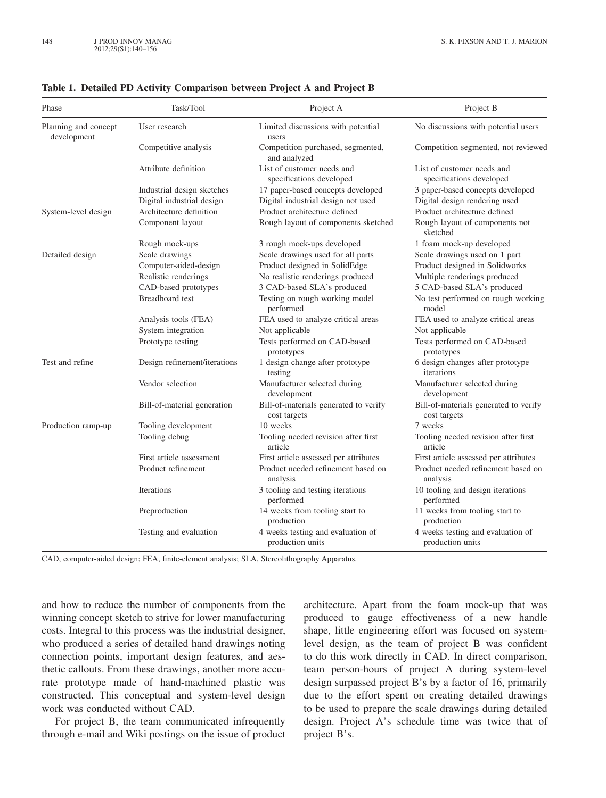| Phase                               | Task/Tool                    | Project A                                              | Project B                                              |
|-------------------------------------|------------------------------|--------------------------------------------------------|--------------------------------------------------------|
| Planning and concept<br>development | User research                | Limited discussions with potential<br>users            | No discussions with potential users                    |
|                                     | Competitive analysis         | Competition purchased, segmented,<br>and analyzed      | Competition segmented, not reviewed                    |
|                                     | Attribute definition         | List of customer needs and<br>specifications developed | List of customer needs and<br>specifications developed |
|                                     | Industrial design sketches   | 17 paper-based concepts developed                      | 3 paper-based concepts developed                       |
|                                     | Digital industrial design    | Digital industrial design not used                     | Digital design rendering used                          |
| System-level design                 | Architecture definition      | Product architecture defined                           | Product architecture defined                           |
|                                     | Component layout             | Rough layout of components sketched                    | Rough layout of components not<br>sketched             |
|                                     | Rough mock-ups               | 3 rough mock-ups developed                             | 1 foam mock-up developed                               |
| Detailed design                     | Scale drawings               | Scale drawings used for all parts                      | Scale drawings used on 1 part                          |
|                                     | Computer-aided-design        | Product designed in SolidEdge                          | Product designed in Solidworks                         |
|                                     | Realistic renderings         | No realistic renderings produced                       | Multiple renderings produced                           |
|                                     | CAD-based prototypes         | 3 CAD-based SLA's produced                             | 5 CAD-based SLA's produced                             |
|                                     | Breadboard test              | Testing on rough working model<br>performed            | No test performed on rough working<br>model            |
|                                     | Analysis tools (FEA)         | FEA used to analyze critical areas                     | FEA used to analyze critical areas                     |
|                                     | System integration           | Not applicable                                         | Not applicable                                         |
|                                     | Prototype testing            | Tests performed on CAD-based<br>prototypes             | Tests performed on CAD-based<br>prototypes             |
| Test and refine                     | Design refinement/iterations | 1 design change after prototype<br>testing             | 6 design changes after prototype<br>iterations         |
|                                     | Vendor selection             | Manufacturer selected during<br>development            | Manufacturer selected during<br>development            |
|                                     | Bill-of-material generation  | Bill-of-materials generated to verify<br>cost targets  | Bill-of-materials generated to verify<br>cost targets  |
| Production ramp-up                  | Tooling development          | 10 weeks                                               | 7 weeks                                                |
|                                     | Tooling debug                | Tooling needed revision after first<br>article         | Tooling needed revision after first<br>article         |
|                                     | First article assessment     | First article assessed per attributes                  | First article assessed per attributes                  |
|                                     | Product refinement           | Product needed refinement based on<br>analysis         | Product needed refinement based on<br>analysis         |
|                                     | Iterations                   | 3 tooling and testing iterations<br>performed          | 10 tooling and design iterations<br>performed          |
|                                     | Preproduction                | 14 weeks from tooling start to<br>production           | 11 weeks from tooling start to<br>production           |
|                                     | Testing and evaluation       | 4 weeks testing and evaluation of<br>production units  | 4 weeks testing and evaluation of<br>production units  |

#### **Table 1. Detailed PD Activity Comparison between Project A and Project B**

CAD, computer-aided design; FEA, finite-element analysis; SLA, Stereolithography Apparatus.

and how to reduce the number of components from the winning concept sketch to strive for lower manufacturing costs. Integral to this process was the industrial designer, who produced a series of detailed hand drawings noting connection points, important design features, and aesthetic callouts. From these drawings, another more accurate prototype made of hand-machined plastic was constructed. This conceptual and system-level design work was conducted without CAD.

For project B, the team communicated infrequently through e-mail and Wiki postings on the issue of product architecture. Apart from the foam mock-up that was produced to gauge effectiveness of a new handle shape, little engineering effort was focused on systemlevel design, as the team of project B was confident to do this work directly in CAD. In direct comparison, team person-hours of project A during system-level design surpassed project B's by a factor of 16, primarily due to the effort spent on creating detailed drawings to be used to prepare the scale drawings during detailed design. Project A's schedule time was twice that of project B's.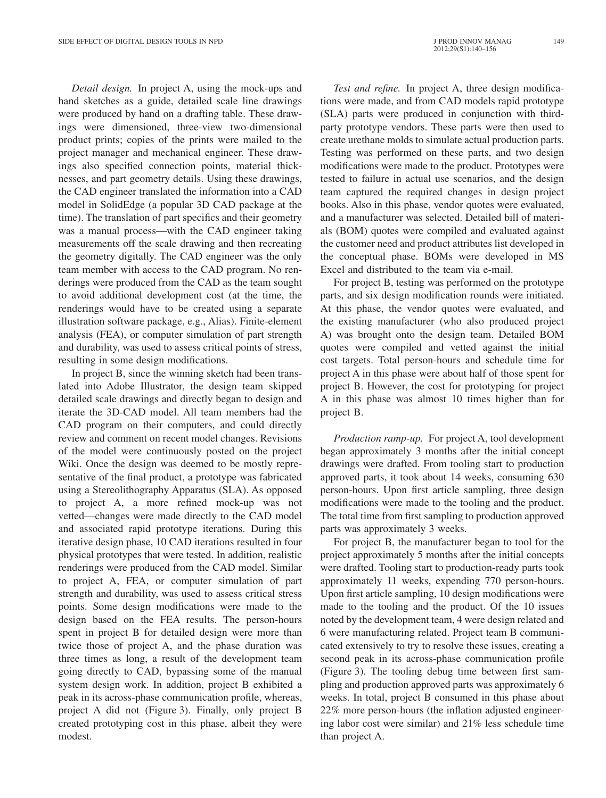*Detail design.* In project A, using the mock-ups and hand sketches as a guide, detailed scale line drawings were produced by hand on a drafting table. These drawings were dimensioned, three-view two-dimensional product prints; copies of the prints were mailed to the project manager and mechanical engineer. These drawings also specified connection points, material thicknesses, and part geometry details. Using these drawings, the CAD engineer translated the information into a CAD model in SolidEdge (a popular 3D CAD package at the time). The translation of part specifics and their geometry was a manual process—with the CAD engineer taking measurements off the scale drawing and then recreating the geometry digitally. The CAD engineer was the only team member with access to the CAD program. No renderings were produced from the CAD as the team sought to avoid additional development cost (at the time, the renderings would have to be created using a separate illustration software package, e.g., Alias). Finite-element analysis (FEA), or computer simulation of part strength and durability, was used to assess critical points of stress, resulting in some design modifications.

In project B, since the winning sketch had been translated into Adobe Illustrator, the design team skipped detailed scale drawings and directly began to design and iterate the 3D-CAD model. All team members had the CAD program on their computers, and could directly review and comment on recent model changes. Revisions of the model were continuously posted on the project Wiki. Once the design was deemed to be mostly representative of the final product, a prototype was fabricated using a Stereolithography Apparatus (SLA). As opposed to project A, a more refined mock-up was not vetted—changes were made directly to the CAD model and associated rapid prototype iterations. During this iterative design phase, 10 CAD iterations resulted in four physical prototypes that were tested. In addition, realistic renderings were produced from the CAD model. Similar to project A, FEA, or computer simulation of part strength and durability, was used to assess critical stress points. Some design modifications were made to the design based on the FEA results. The person-hours spent in project B for detailed design were more than twice those of project A, and the phase duration was three times as long, a result of the development team going directly to CAD, bypassing some of the manual system design work. In addition, project B exhibited a peak in its across-phase communication profile, whereas, project A did not (Figure 3). Finally, only project B created prototyping cost in this phase, albeit they were modest.

*Test and refine.* In project A, three design modifications were made, and from CAD models rapid prototype (SLA) parts were produced in conjunction with thirdparty prototype vendors. These parts were then used to create urethane molds to simulate actual production parts. Testing was performed on these parts, and two design modifications were made to the product. Prototypes were tested to failure in actual use scenarios, and the design team captured the required changes in design project books. Also in this phase, vendor quotes were evaluated, and a manufacturer was selected. Detailed bill of materials (BOM) quotes were compiled and evaluated against the customer need and product attributes list developed in the conceptual phase. BOMs were developed in MS Excel and distributed to the team via e-mail.

For project B, testing was performed on the prototype parts, and six design modification rounds were initiated. At this phase, the vendor quotes were evaluated, and the existing manufacturer (who also produced project A) was brought onto the design team. Detailed BOM quotes were compiled and vetted against the initial cost targets. Total person-hours and schedule time for project A in this phase were about half of those spent for project B. However, the cost for prototyping for project A in this phase was almost 10 times higher than for project B.

*Production ramp-up.* For project A, tool development began approximately 3 months after the initial concept drawings were drafted. From tooling start to production approved parts, it took about 14 weeks, consuming 630 person-hours. Upon first article sampling, three design modifications were made to the tooling and the product. The total time from first sampling to production approved parts was approximately 3 weeks.

For project B, the manufacturer began to tool for the project approximately 5 months after the initial concepts were drafted. Tooling start to production-ready parts took approximately 11 weeks, expending 770 person-hours. Upon first article sampling, 10 design modifications were made to the tooling and the product. Of the 10 issues noted by the development team, 4 were design related and 6 were manufacturing related. Project team B communicated extensively to try to resolve these issues, creating a second peak in its across-phase communication profile (Figure 3). The tooling debug time between first sampling and production approved parts was approximately 6 weeks. In total, project B consumed in this phase about 22% more person-hours (the inflation adjusted engineering labor cost were similar) and 21% less schedule time than project A.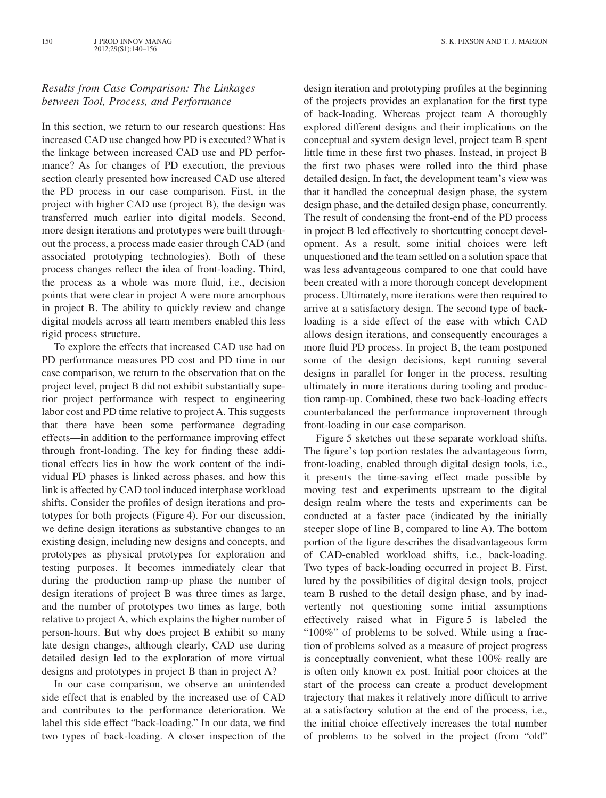# *Results from Case Comparison: The Linkages between Tool, Process, and Performance*

In this section, we return to our research questions: Has increased CAD use changed how PD is executed? What is the linkage between increased CAD use and PD performance? As for changes of PD execution, the previous section clearly presented how increased CAD use altered the PD process in our case comparison. First, in the project with higher CAD use (project B), the design was transferred much earlier into digital models. Second, more design iterations and prototypes were built throughout the process, a process made easier through CAD (and associated prototyping technologies). Both of these process changes reflect the idea of front-loading. Third, the process as a whole was more fluid, i.e., decision points that were clear in project A were more amorphous in project B. The ability to quickly review and change digital models across all team members enabled this less rigid process structure.

To explore the effects that increased CAD use had on PD performance measures PD cost and PD time in our case comparison, we return to the observation that on the project level, project B did not exhibit substantially superior project performance with respect to engineering labor cost and PD time relative to project A. This suggests that there have been some performance degrading effects—in addition to the performance improving effect through front-loading. The key for finding these additional effects lies in how the work content of the individual PD phases is linked across phases, and how this link is affected by CAD tool induced interphase workload shifts. Consider the profiles of design iterations and prototypes for both projects (Figure 4). For our discussion, we define design iterations as substantive changes to an existing design, including new designs and concepts, and prototypes as physical prototypes for exploration and testing purposes. It becomes immediately clear that during the production ramp-up phase the number of design iterations of project B was three times as large, and the number of prototypes two times as large, both relative to project A, which explains the higher number of person-hours. But why does project B exhibit so many late design changes, although clearly, CAD use during detailed design led to the exploration of more virtual designs and prototypes in project B than in project A?

In our case comparison, we observe an unintended side effect that is enabled by the increased use of CAD and contributes to the performance deterioration. We label this side effect "back-loading." In our data, we find two types of back-loading. A closer inspection of the design iteration and prototyping profiles at the beginning of the projects provides an explanation for the first type of back-loading. Whereas project team A thoroughly explored different designs and their implications on the conceptual and system design level, project team B spent little time in these first two phases. Instead, in project B the first two phases were rolled into the third phase detailed design. In fact, the development team's view was that it handled the conceptual design phase, the system design phase, and the detailed design phase, concurrently. The result of condensing the front-end of the PD process in project B led effectively to shortcutting concept development. As a result, some initial choices were left unquestioned and the team settled on a solution space that was less advantageous compared to one that could have been created with a more thorough concept development process. Ultimately, more iterations were then required to arrive at a satisfactory design. The second type of backloading is a side effect of the ease with which CAD allows design iterations, and consequently encourages a more fluid PD process. In project B, the team postponed some of the design decisions, kept running several designs in parallel for longer in the process, resulting ultimately in more iterations during tooling and production ramp-up. Combined, these two back-loading effects counterbalanced the performance improvement through front-loading in our case comparison.

Figure 5 sketches out these separate workload shifts. The figure's top portion restates the advantageous form, front-loading, enabled through digital design tools, i.e., it presents the time-saving effect made possible by moving test and experiments upstream to the digital design realm where the tests and experiments can be conducted at a faster pace (indicated by the initially steeper slope of line B, compared to line A). The bottom portion of the figure describes the disadvantageous form of CAD-enabled workload shifts, i.e., back-loading. Two types of back-loading occurred in project B. First, lured by the possibilities of digital design tools, project team B rushed to the detail design phase, and by inadvertently not questioning some initial assumptions effectively raised what in Figure 5 is labeled the "100%" of problems to be solved. While using a fraction of problems solved as a measure of project progress is conceptually convenient, what these 100% really are is often only known ex post. Initial poor choices at the start of the process can create a product development trajectory that makes it relatively more difficult to arrive at a satisfactory solution at the end of the process, i.e., the initial choice effectively increases the total number of problems to be solved in the project (from "old"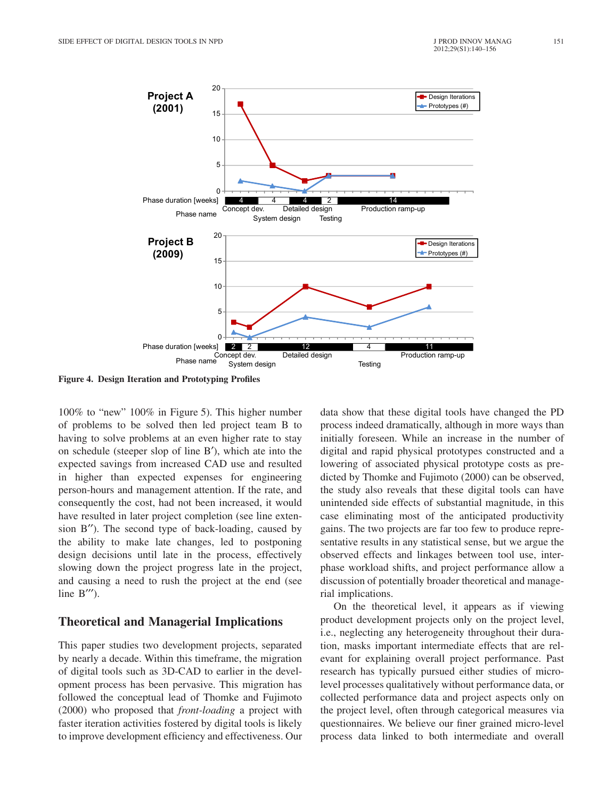

**Figure 4. Design Iteration and Prototyping Profiles**

100% to "new" 100% in Figure 5). This higher number of problems to be solved then led project team B to having to solve problems at an even higher rate to stay on schedule (steeper slop of line B′), which ate into the expected savings from increased CAD use and resulted in higher than expected expenses for engineering person-hours and management attention. If the rate, and consequently the cost, had not been increased, it would have resulted in later project completion (see line extension B′′). The second type of back-loading, caused by the ability to make late changes, led to postponing design decisions until late in the process, effectively slowing down the project progress late in the project, and causing a need to rush the project at the end (see line B"').

## **Theoretical and Managerial Implications**

This paper studies two development projects, separated by nearly a decade. Within this timeframe, the migration of digital tools such as 3D-CAD to earlier in the development process has been pervasive. This migration has followed the conceptual lead of Thomke and Fujimoto (2000) who proposed that *front-loading* a project with faster iteration activities fostered by digital tools is likely to improve development efficiency and effectiveness. Our data show that these digital tools have changed the PD process indeed dramatically, although in more ways than initially foreseen. While an increase in the number of digital and rapid physical prototypes constructed and a lowering of associated physical prototype costs as predicted by Thomke and Fujimoto (2000) can be observed, the study also reveals that these digital tools can have unintended side effects of substantial magnitude, in this case eliminating most of the anticipated productivity gains. The two projects are far too few to produce representative results in any statistical sense, but we argue the observed effects and linkages between tool use, interphase workload shifts, and project performance allow a discussion of potentially broader theoretical and managerial implications.

On the theoretical level, it appears as if viewing product development projects only on the project level, i.e., neglecting any heterogeneity throughout their duration, masks important intermediate effects that are relevant for explaining overall project performance. Past research has typically pursued either studies of microlevel processes qualitatively without performance data, or collected performance data and project aspects only on the project level, often through categorical measures via questionnaires. We believe our finer grained micro-level process data linked to both intermediate and overall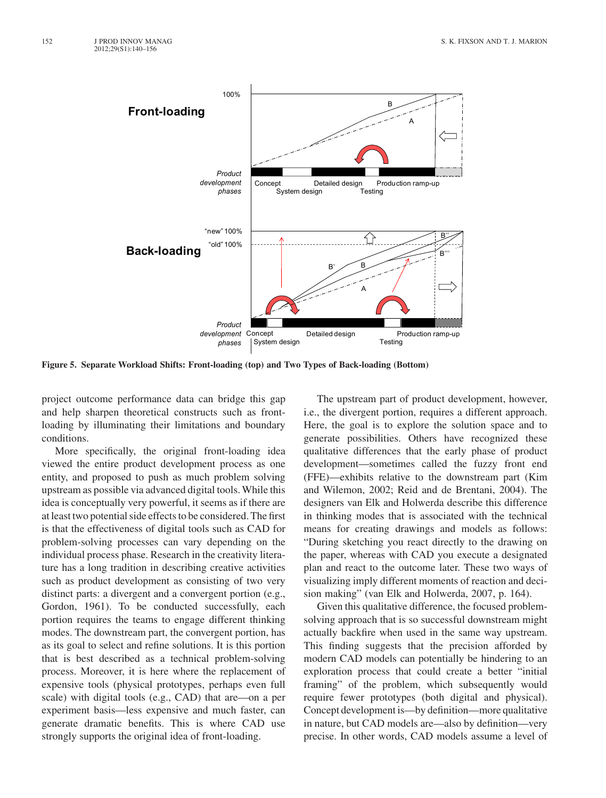

**Figure 5. Separate Workload Shifts: Front-loading (top) and Two Types of Back-loading (Bottom)**

project outcome performance data can bridge this gap and help sharpen theoretical constructs such as frontloading by illuminating their limitations and boundary conditions.

More specifically, the original front-loading idea viewed the entire product development process as one entity, and proposed to push as much problem solving upstream as possible via advanced digital tools.While this idea is conceptually very powerful, it seems as if there are at least two potential side effects to be considered. The first is that the effectiveness of digital tools such as CAD for problem-solving processes can vary depending on the individual process phase. Research in the creativity literature has a long tradition in describing creative activities such as product development as consisting of two very distinct parts: a divergent and a convergent portion (e.g., Gordon, 1961). To be conducted successfully, each portion requires the teams to engage different thinking modes. The downstream part, the convergent portion, has as its goal to select and refine solutions. It is this portion that is best described as a technical problem-solving process. Moreover, it is here where the replacement of expensive tools (physical prototypes, perhaps even full scale) with digital tools (e.g., CAD) that are—on a per experiment basis—less expensive and much faster, can generate dramatic benefits. This is where CAD use strongly supports the original idea of front-loading.

The upstream part of product development, however, i.e., the divergent portion, requires a different approach. Here, the goal is to explore the solution space and to generate possibilities. Others have recognized these qualitative differences that the early phase of product development—sometimes called the fuzzy front end (FFE)—exhibits relative to the downstream part (Kim and Wilemon, 2002; Reid and de Brentani, 2004). The designers van Elk and Holwerda describe this difference in thinking modes that is associated with the technical means for creating drawings and models as follows: "During sketching you react directly to the drawing on the paper, whereas with CAD you execute a designated plan and react to the outcome later. These two ways of visualizing imply different moments of reaction and decision making" (van Elk and Holwerda, 2007, p. 164).

Given this qualitative difference, the focused problemsolving approach that is so successful downstream might actually backfire when used in the same way upstream. This finding suggests that the precision afforded by modern CAD models can potentially be hindering to an exploration process that could create a better "initial framing" of the problem, which subsequently would require fewer prototypes (both digital and physical). Concept development is—by definition—more qualitative in nature, but CAD models are—also by definition—very precise. In other words, CAD models assume a level of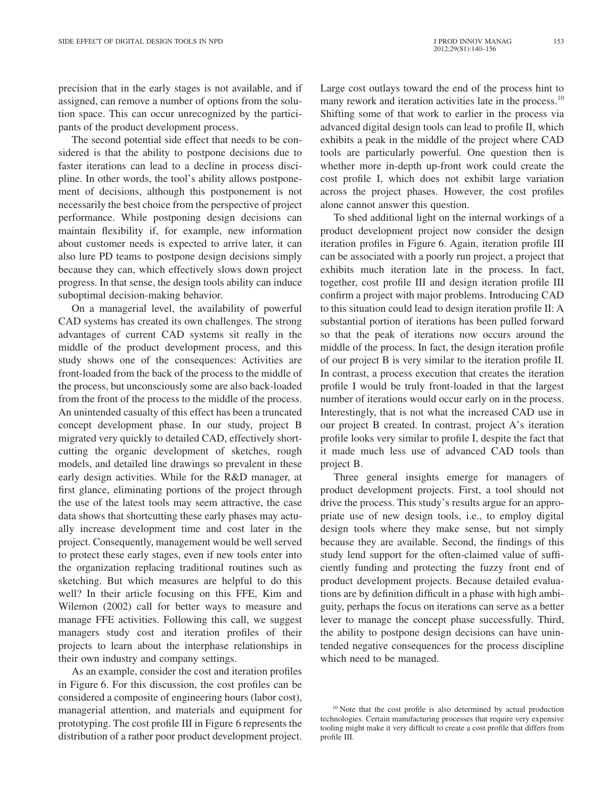precision that in the early stages is not available, and if assigned, can remove a number of options from the solution space. This can occur unrecognized by the participants of the product development process.

The second potential side effect that needs to be considered is that the ability to postpone decisions due to faster iterations can lead to a decline in process discipline. In other words, the tool's ability allows postponement of decisions, although this postponement is not necessarily the best choice from the perspective of project performance. While postponing design decisions can maintain flexibility if, for example, new information about customer needs is expected to arrive later, it can also lure PD teams to postpone design decisions simply because they can, which effectively slows down project progress. In that sense, the design tools ability can induce suboptimal decision-making behavior.

On a managerial level, the availability of powerful CAD systems has created its own challenges. The strong advantages of current CAD systems sit really in the middle of the product development process, and this study shows one of the consequences: Activities are front-loaded from the back of the process to the middle of the process, but unconsciously some are also back-loaded from the front of the process to the middle of the process. An unintended casualty of this effect has been a truncated concept development phase. In our study, project B migrated very quickly to detailed CAD, effectively shortcutting the organic development of sketches, rough models, and detailed line drawings so prevalent in these early design activities. While for the R&D manager, at first glance, eliminating portions of the project through the use of the latest tools may seem attractive, the case data shows that shortcutting these early phases may actually increase development time and cost later in the project. Consequently, management would be well served to protect these early stages, even if new tools enter into the organization replacing traditional routines such as sketching. But which measures are helpful to do this well? In their article focusing on this FFE, Kim and Wilemon (2002) call for better ways to measure and manage FFE activities. Following this call, we suggest managers study cost and iteration profiles of their projects to learn about the interphase relationships in their own industry and company settings.

As an example, consider the cost and iteration profiles in Figure 6. For this discussion, the cost profiles can be considered a composite of engineering hours (labor cost), managerial attention, and materials and equipment for prototyping. The cost profile III in Figure 6 represents the distribution of a rather poor product development project. Large cost outlays toward the end of the process hint to many rework and iteration activities late in the process.<sup>10</sup> Shifting some of that work to earlier in the process via advanced digital design tools can lead to profile II, which exhibits a peak in the middle of the project where CAD tools are particularly powerful. One question then is whether more in-depth up-front work could create the cost profile I, which does not exhibit large variation across the project phases. However, the cost profiles alone cannot answer this question.

To shed additional light on the internal workings of a product development project now consider the design iteration profiles in Figure 6. Again, iteration profile III can be associated with a poorly run project, a project that exhibits much iteration late in the process. In fact, together, cost profile III and design iteration profile III confirm a project with major problems. Introducing CAD to this situation could lead to design iteration profile II: A substantial portion of iterations has been pulled forward so that the peak of iterations now occurs around the middle of the process. In fact, the design iteration profile of our project B is very similar to the iteration profile II. In contrast, a process execution that creates the iteration profile I would be truly front-loaded in that the largest number of iterations would occur early on in the process. Interestingly, that is not what the increased CAD use in our project B created. In contrast, project A's iteration profile looks very similar to profile I, despite the fact that it made much less use of advanced CAD tools than project B.

Three general insights emerge for managers of product development projects. First, a tool should not drive the process. This study's results argue for an appropriate use of new design tools, i.e., to employ digital design tools where they make sense, but not simply because they are available. Second, the findings of this study lend support for the often-claimed value of sufficiently funding and protecting the fuzzy front end of product development projects. Because detailed evaluations are by definition difficult in a phase with high ambiguity, perhaps the focus on iterations can serve as a better lever to manage the concept phase successfully. Third, the ability to postpone design decisions can have unintended negative consequences for the process discipline which need to be managed.

<sup>&</sup>lt;sup>10</sup> Note that the cost profile is also determined by actual production technologies. Certain manufacturing processes that require very expensive tooling might make it very difficult to create a cost profile that differs from profile III.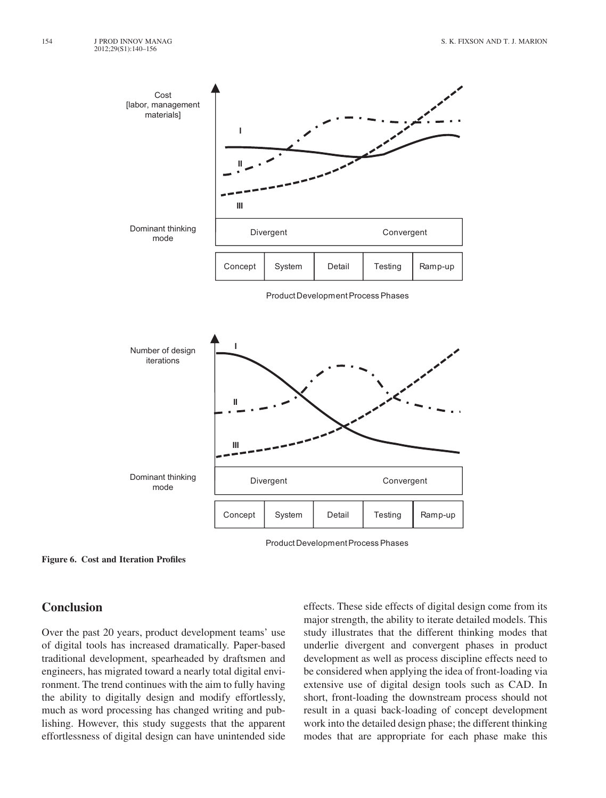

Product Development Process Phases



# **Conclusion**

Over the past 20 years, product development teams' use of digital tools has increased dramatically. Paper-based traditional development, spearheaded by draftsmen and engineers, has migrated toward a nearly total digital environment. The trend continues with the aim to fully having the ability to digitally design and modify effortlessly, much as word processing has changed writing and publishing. However, this study suggests that the apparent effortlessness of digital design can have unintended side

effects. These side effects of digital design come from its major strength, the ability to iterate detailed models. This study illustrates that the different thinking modes that underlie divergent and convergent phases in product development as well as process discipline effects need to be considered when applying the idea of front-loading via extensive use of digital design tools such as CAD. In short, front-loading the downstream process should not result in a quasi back-loading of concept development work into the detailed design phase; the different thinking modes that are appropriate for each phase make this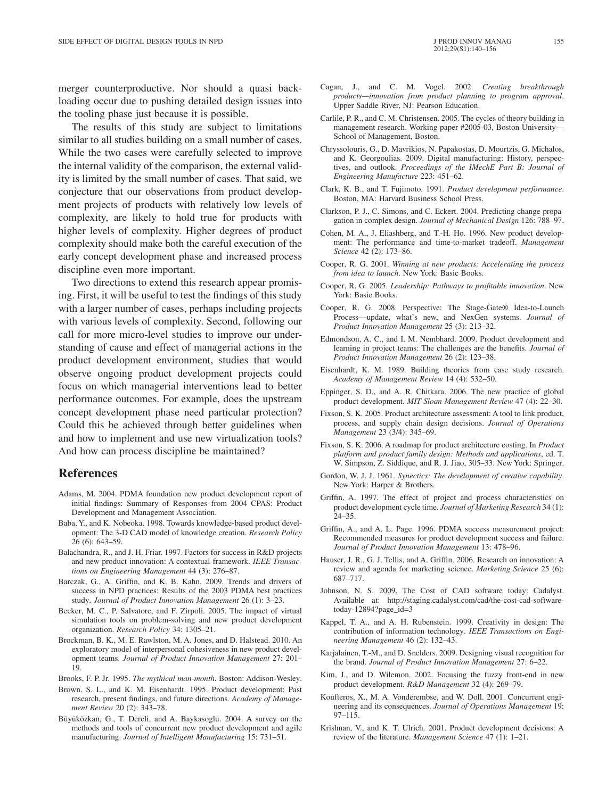merger counterproductive. Nor should a quasi backloading occur due to pushing detailed design issues into the tooling phase just because it is possible.

The results of this study are subject to limitations similar to all studies building on a small number of cases. While the two cases were carefully selected to improve the internal validity of the comparison, the external validity is limited by the small number of cases. That said, we conjecture that our observations from product development projects of products with relatively low levels of complexity, are likely to hold true for products with higher levels of complexity. Higher degrees of product complexity should make both the careful execution of the early concept development phase and increased process discipline even more important.

Two directions to extend this research appear promising. First, it will be useful to test the findings of this study with a larger number of cases, perhaps including projects with various levels of complexity. Second, following our call for more micro-level studies to improve our understanding of cause and effect of managerial actions in the product development environment, studies that would observe ongoing product development projects could focus on which managerial interventions lead to better performance outcomes. For example, does the upstream concept development phase need particular protection? Could this be achieved through better guidelines when and how to implement and use new virtualization tools? And how can process discipline be maintained?

## **References**

- Adams, M. 2004. PDMA foundation new product development report of initial findings: Summary of Responses from 2004 CPAS: Product Development and Management Association.
- Baba, Y., and K. Nobeoka. 1998. Towards knowledge-based product development: The 3-D CAD model of knowledge creation. *Research Policy* 26 (6): 643–59.
- Balachandra, R., and J. H. Friar. 1997. Factors for success in R&D projects and new product innovation: A contextual framework. *IEEE Transactions on Engineering Management* 44 (3): 276–87.
- Barczak, G., A. Griffin, and K. B. Kahn. 2009. Trends and drivers of success in NPD practices: Results of the 2003 PDMA best practices study. *Journal of Product Innovation Management* 26 (1): 3–23.
- Becker, M. C., P. Salvatore, and F. Zirpoli. 2005. The impact of virtual simulation tools on problem-solving and new product development organization. *Research Policy* 34: 1305–21.
- Brockman, B. K., M. E. Rawlston, M. A. Jones, and D. Halstead. 2010. An exploratory model of interpersonal cohesiveness in new product development teams. *Journal of Product Innovation Management* 27: 201– 19.
- Brooks, F. P. Jr. 1995. *The mythical man-month*. Boston: Addison-Wesley.
- Brown, S. L., and K. M. Eisenhardt. 1995. Product development: Past research, present findings, and future directions. *Academy of Management Review* 20 (2): 343–78.
- Büyüközkan, G., T. Dereli, and A. Baykasoglu. 2004. A survey on the methods and tools of concurrent new product development and agile manufacturing. *Journal of Intelligent Manufacturing* 15: 731–51.
- Cagan, J., and C. M. Vogel. 2002. *Creating breakthrough products—innovation from product planning to program approval*. Upper Saddle River, NJ: Pearson Education.
- Carlile, P. R., and C. M. Christensen. 2005. The cycles of theory building in management research. Working paper #2005-03, Boston University— School of Management, Boston.
- Chryssolouris, G., D. Mavrikios, N. Papakostas, D. Mourtzis, G. Michalos, and K. Georgoulias. 2009. Digital manufacturing: History, perspectives, and outlook. *Proceedings of the IMechE Part B: Journal of Engineering Manufacture* 223: 451–62.
- Clark, K. B., and T. Fujimoto. 1991. *Product development performance*. Boston, MA: Harvard Business School Press.
- Clarkson, P. J., C. Simons, and C. Eckert. 2004. Predicting change propagation in complex design. *Journal of Mechanical Design* 126: 788–97.
- Cohen, M. A., J. Eliashberg, and T.-H. Ho. 1996. New product development: The performance and time-to-market tradeoff. *Management Science* 42 (2): 173–86.
- Cooper, R. G. 2001. *Winning at new products: Accelerating the process from idea to launch*. New York: Basic Books.
- Cooper, R. G. 2005. *Leadership: Pathways to profitable innovation*. New York: Basic Books.
- Cooper, R. G. 2008. Perspective: The Stage-Gate® Idea-to-Launch Process—update, what's new, and NexGen systems. *Journal of Product Innovation Management* 25 (3): 213–32.
- Edmondson, A. C., and I. M. Nembhard. 2009. Product development and learning in project teams: The challenges are the benefits. *Journal of Product Innovation Management* 26 (2): 123–38.
- Eisenhardt, K. M. 1989. Building theories from case study research. *Academy of Management Review* 14 (4): 532–50.
- Eppinger, S. D., and A. R. Chitkara. 2006. The new practice of global product development. *MIT Sloan Management Review* 47 (4): 22–30.
- Fixson, S. K. 2005. Product architecture assessment: A tool to link product, process, and supply chain design decisions. *Journal of Operations Management* 23 (3/4): 345–69.
- Fixson, S. K. 2006. A roadmap for product architecture costing. In *Product platform and product family design: Methods and applications*, ed. T. W. Simpson, Z. Siddique, and R. J. Jiao, 305–33. New York: Springer.
- Gordon, W. J. J. 1961. *Synectics: The development of creative capability*. New York: Harper & Brothers.
- Griffin, A. 1997. The effect of project and process characteristics on product development cycle time. *Journal of Marketing Research* 34 (1): 24–35.
- Griffin, A., and A. L. Page. 1996. PDMA success measurement project: Recommended measures for product development success and failure. *Journal of Product Innovation Management* 13: 478–96.
- Hauser, J. R., G. J. Tellis, and A. Griffin. 2006. Research on innovation: A review and agenda for marketing science. *Marketing Science* 25 (6): 687–717.
- Johnson, N. S. 2009. The Cost of CAD software today: Cadalyst. Available at: http://staging.cadalyst.com/cad/the-cost-cad-softwaretoday-12894?page\_id=3
- Kappel, T. A., and A. H. Rubenstein. 1999. Creativity in design: The contribution of information technology. *IEEE Transactions on Engineering Management* 46 (2): 132–43.
- Karjalainen, T.-M., and D. Snelders. 2009. Designing visual recognition for the brand. *Journal of Product Innovation Management* 27: 6–22.
- Kim, J., and D. Wilemon. 2002. Focusing the fuzzy front-end in new product development. *R&D Management* 32 (4): 269–79.
- Koufteros, X., M. A. Vonderembse, and W. Doll. 2001. Concurrent engineering and its consequences. *Journal of Operations Management* 19: 97–115.
- Krishnan, V., and K. T. Ulrich. 2001. Product development decisions: A review of the literature. *Management Science* 47 (1): 1–21.